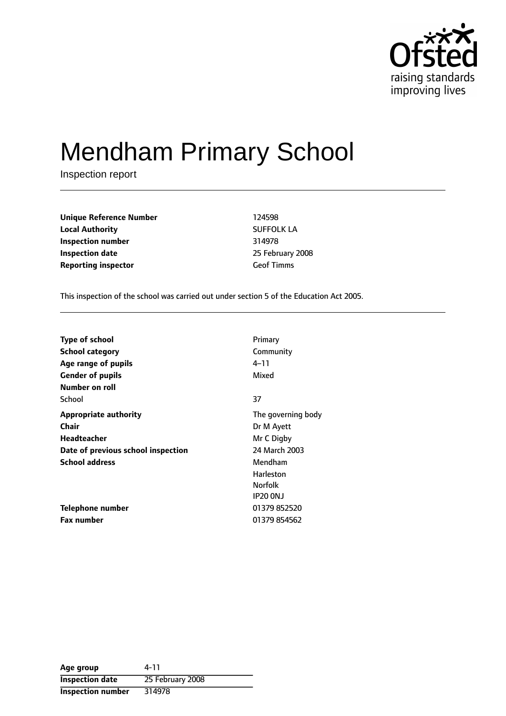

# Mendham Primary School

Inspection report

**Unique Reference Number** 124598 **Local Authority** SUFFOLK LA **Inspection number** 314978 **Inspection date** 25 February 2008 **Reporting inspector** Geof Timms

This inspection of the school was carried out under section 5 of the Education Act 2005.

| <b>Type of school</b>              | Primary            |
|------------------------------------|--------------------|
| <b>School category</b>             | Community          |
| Age range of pupils                | 4–11               |
| <b>Gender of pupils</b>            | Mixed              |
| Number on roll                     |                    |
| School                             | 37                 |
| <b>Appropriate authority</b>       | The governing body |
| <b>Chair</b>                       | Dr M Ayett         |
| Headteacher                        | Mr C Digby         |
| Date of previous school inspection | 24 March 2003      |
| <b>School address</b>              | Mendham            |
|                                    | Harleston          |
|                                    | <b>Norfolk</b>     |
|                                    | <b>IP20 ONJ</b>    |
| Telephone number                   | 01379 852520       |
| <b>Fax number</b>                  | 01379 854562       |

| Age group                | 4-11             |
|--------------------------|------------------|
| <b>Inspection date</b>   | 25 February 2008 |
| <b>Inspection number</b> | 314978           |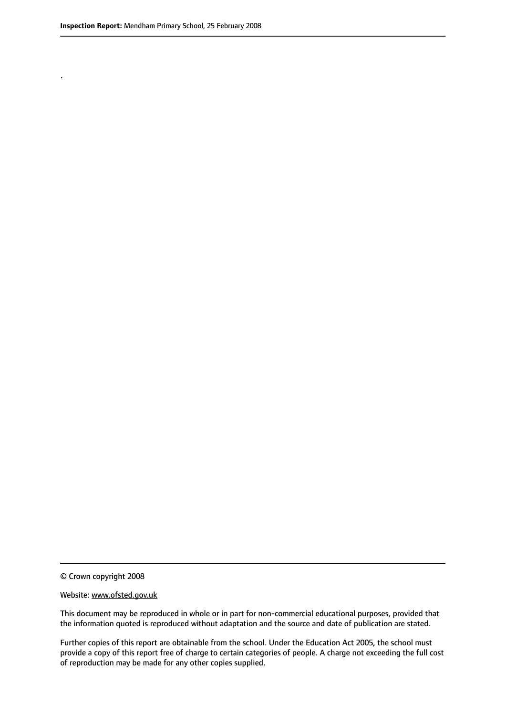.

© Crown copyright 2008

#### Website: www.ofsted.gov.uk

This document may be reproduced in whole or in part for non-commercial educational purposes, provided that the information quoted is reproduced without adaptation and the source and date of publication are stated.

Further copies of this report are obtainable from the school. Under the Education Act 2005, the school must provide a copy of this report free of charge to certain categories of people. A charge not exceeding the full cost of reproduction may be made for any other copies supplied.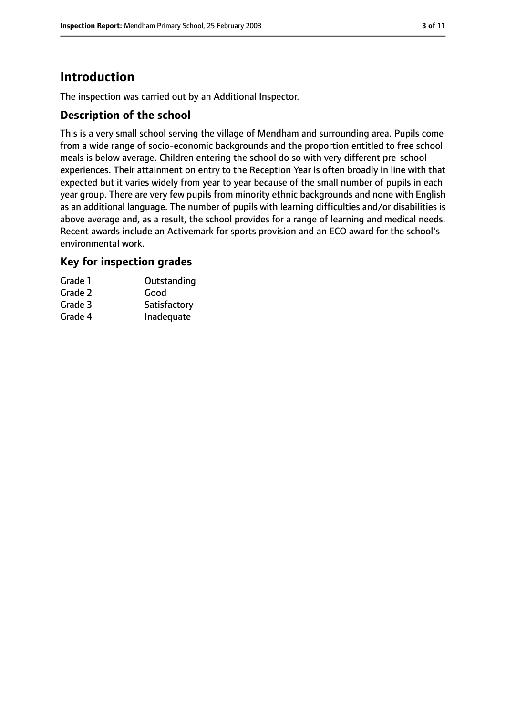# **Introduction**

The inspection was carried out by an Additional Inspector.

### **Description of the school**

This is a very small school serving the village of Mendham and surrounding area. Pupils come from a wide range of socio-economic backgrounds and the proportion entitled to free school meals is below average. Children entering the school do so with very different pre-school experiences. Their attainment on entry to the Reception Year is often broadly in line with that expected but it varies widely from year to year because of the small number of pupils in each year group. There are very few pupils from minority ethnic backgrounds and none with English as an additional language. The number of pupils with learning difficulties and/or disabilities is above average and, as a result, the school provides for a range of learning and medical needs. Recent awards include an Activemark for sports provision and an ECO award for the school's environmental work.

### **Key for inspection grades**

| Grade 1 | Outstanding  |
|---------|--------------|
| Grade 2 | Good         |
| Grade 3 | Satisfactory |
| Grade 4 | Inadequate   |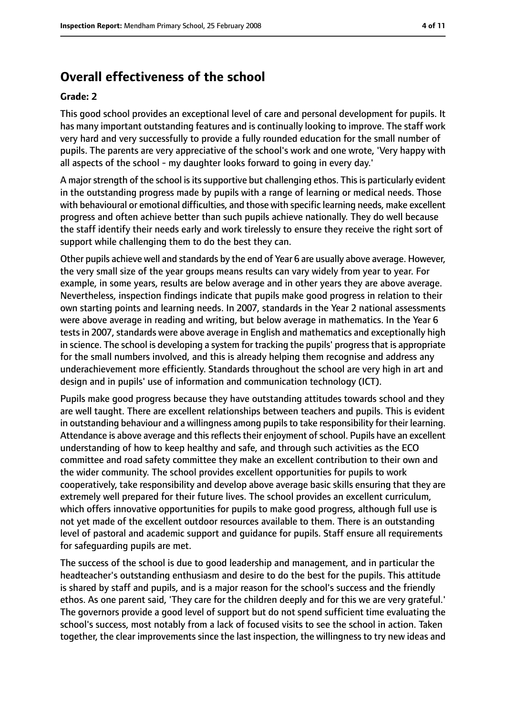# **Overall effectiveness of the school**

#### **Grade: 2**

This good school provides an exceptional level of care and personal development for pupils. It has many important outstanding features and is continually looking to improve. The staff work very hard and very successfully to provide a fully rounded education for the small number of pupils. The parents are very appreciative of the school's work and one wrote, 'Very happy with all aspects of the school - my daughter looks forward to going in every day.'

A major strength of the school is its supportive but challenging ethos. This is particularly evident in the outstanding progress made by pupils with a range of learning or medical needs. Those with behavioural or emotional difficulties, and those with specific learning needs, make excellent progress and often achieve better than such pupils achieve nationally. They do well because the staff identify their needs early and work tirelessly to ensure they receive the right sort of support while challenging them to do the best they can.

Other pupils achieve well and standards by the end of Year 6 are usually above average. However, the very small size of the year groups means results can vary widely from year to year. For example, in some years, results are below average and in other years they are above average. Nevertheless, inspection findings indicate that pupils make good progress in relation to their own starting points and learning needs. In 2007, standards in the Year 2 national assessments were above average in reading and writing, but below average in mathematics. In the Year 6 tests in 2007, standards were above average in English and mathematics and exceptionally high in science. The school is developing a system for tracking the pupils' progressthat is appropriate for the small numbers involved, and this is already helping them recognise and address any underachievement more efficiently. Standards throughout the school are very high in art and design and in pupils' use of information and communication technology (ICT).

Pupils make good progress because they have outstanding attitudes towards school and they are well taught. There are excellent relationships between teachers and pupils. This is evident in outstanding behaviour and a willingness among pupils to take responsibility for their learning. Attendance is above average and this reflects their enjoyment of school. Pupils have an excellent understanding of how to keep healthy and safe, and through such activities as the ECO committee and road safety committee they make an excellent contribution to their own and the wider community. The school provides excellent opportunities for pupils to work cooperatively, take responsibility and develop above average basic skills ensuring that they are extremely well prepared for their future lives. The school provides an excellent curriculum, which offers innovative opportunities for pupils to make good progress, although full use is not yet made of the excellent outdoor resources available to them. There is an outstanding level of pastoral and academic support and guidance for pupils. Staff ensure all requirements for safeguarding pupils are met.

The success of the school is due to good leadership and management, and in particular the headteacher's outstanding enthusiasm and desire to do the best for the pupils. This attitude is shared by staff and pupils, and is a major reason for the school's success and the friendly ethos. As one parent said, 'They care for the children deeply and for this we are very grateful.' The governors provide a good level of support but do not spend sufficient time evaluating the school's success, most notably from a lack of focused visits to see the school in action. Taken together, the clear improvements since the last inspection, the willingness to try new ideas and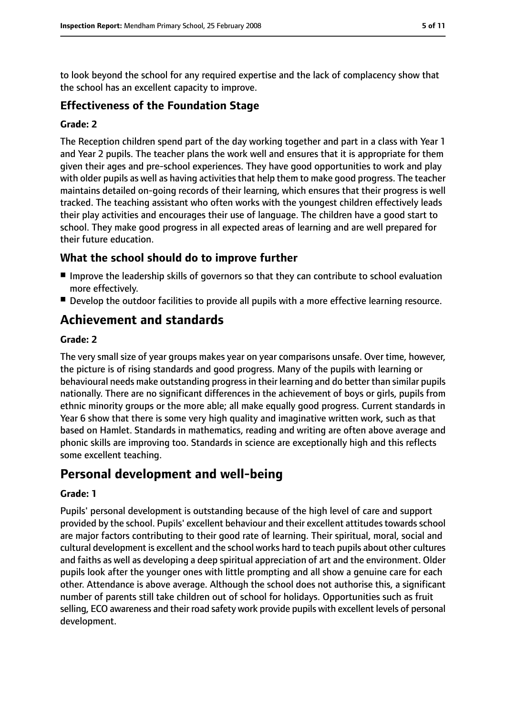to look beyond the school for any required expertise and the lack of complacency show that the school has an excellent capacity to improve.

#### **Effectiveness of the Foundation Stage**

#### **Grade: 2**

The Reception children spend part of the day working together and part in a class with Year 1 and Year 2 pupils. The teacher plans the work well and ensures that it is appropriate for them given their ages and pre-school experiences. They have good opportunities to work and play with older pupils as well as having activities that help them to make good progress. The teacher maintains detailed on-going records of their learning, which ensures that their progress is well tracked. The teaching assistant who often works with the youngest children effectively leads their play activities and encourages their use of language. The children have a good start to school. They make good progress in all expected areas of learning and are well prepared for their future education.

### **What the school should do to improve further**

- Improve the leadership skills of governors so that they can contribute to school evaluation more effectively.
- Develop the outdoor facilities to provide all pupils with a more effective learning resource.

# **Achievement and standards**

#### **Grade: 2**

The very small size of year groups makes year on year comparisons unsafe. Over time, however, the picture is of rising standards and good progress. Many of the pupils with learning or behavioural needs make outstanding progressin their learning and do better than similar pupils nationally. There are no significant differences in the achievement of boys or girls, pupils from ethnic minority groups or the more able; all make equally good progress. Current standards in Year 6 show that there is some very high quality and imaginative written work, such as that based on Hamlet. Standards in mathematics, reading and writing are often above average and phonic skills are improving too. Standards in science are exceptionally high and this reflects some excellent teaching.

# **Personal development and well-being**

#### **Grade: 1**

Pupils' personal development is outstanding because of the high level of care and support provided by the school. Pupils' excellent behaviour and their excellent attitudes towards school are major factors contributing to their good rate of learning. Their spiritual, moral, social and cultural development is excellent and the school works hard to teach pupils about other cultures and faiths as well as developing a deep spiritual appreciation of art and the environment. Older pupils look after the younger ones with little prompting and all show a genuine care for each other. Attendance is above average. Although the school does not authorise this, a significant number of parents still take children out of school for holidays. Opportunities such as fruit selling, ECO awareness and their road safety work provide pupils with excellent levels of personal development.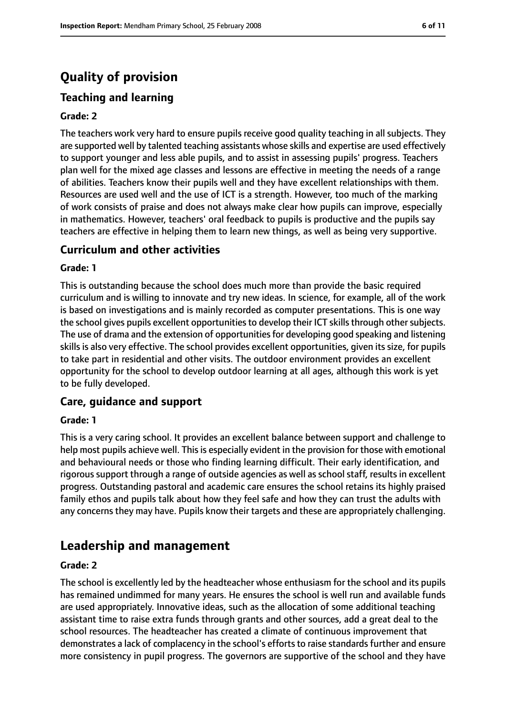# **Quality of provision**

# **Teaching and learning**

#### **Grade: 2**

The teachers work very hard to ensure pupils receive good quality teaching in all subjects. They are supported well by talented teaching assistants whose skills and expertise are used effectively to support younger and less able pupils, and to assist in assessing pupils' progress. Teachers plan well for the mixed age classes and lessons are effective in meeting the needs of a range of abilities. Teachers know their pupils well and they have excellent relationships with them. Resources are used well and the use of ICT is a strength. However, too much of the marking of work consists of praise and does not always make clear how pupils can improve, especially in mathematics. However, teachers' oral feedback to pupils is productive and the pupils say teachers are effective in helping them to learn new things, as well as being very supportive.

#### **Curriculum and other activities**

#### **Grade: 1**

This is outstanding because the school does much more than provide the basic required curriculum and is willing to innovate and try new ideas. In science, for example, all of the work is based on investigations and is mainly recorded as computer presentations. This is one way the school gives pupils excellent opportunities to develop their ICT skills through other subjects. The use of drama and the extension of opportunities for developing good speaking and listening skills is also very effective. The school provides excellent opportunities, given its size, for pupils to take part in residential and other visits. The outdoor environment provides an excellent opportunity for the school to develop outdoor learning at all ages, although this work is yet to be fully developed.

#### **Care, guidance and support**

#### **Grade: 1**

This is a very caring school. It provides an excellent balance between support and challenge to help most pupils achieve well. This is especially evident in the provision for those with emotional and behavioural needs or those who finding learning difficult. Their early identification, and rigorous support through a range of outside agencies as well as school staff, results in excellent progress. Outstanding pastoral and academic care ensures the school retains its highly praised family ethos and pupils talk about how they feel safe and how they can trust the adults with any concerns they may have. Pupils know their targets and these are appropriately challenging.

# **Leadership and management**

#### **Grade: 2**

The school is excellently led by the headteacher whose enthusiasm for the school and its pupils has remained undimmed for many years. He ensures the school is well run and available funds are used appropriately. Innovative ideas, such as the allocation of some additional teaching assistant time to raise extra funds through grants and other sources, add a great deal to the school resources. The headteacher has created a climate of continuous improvement that demonstrates a lack of complacency in the school's efforts to raise standards further and ensure more consistency in pupil progress. The governors are supportive of the school and they have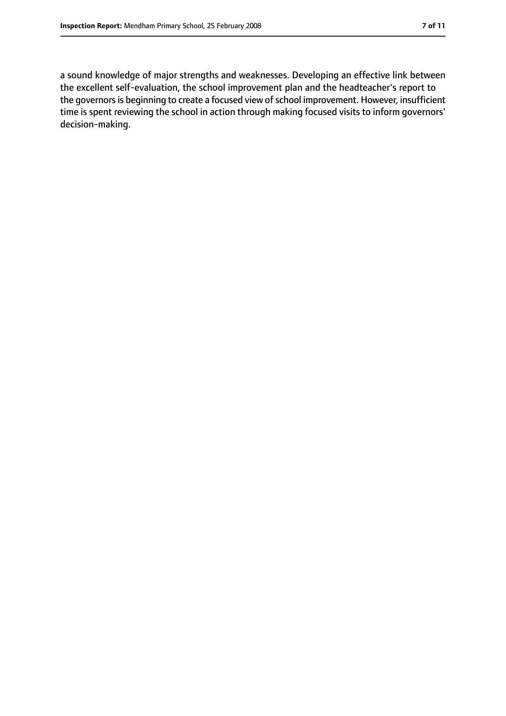a sound knowledge of major strengths and weaknesses. Developing an effective link between the excellent self-evaluation, the school improvement plan and the headteacher's report to the governors is beginning to create a focused view of school improvement. However, insufficient time is spent reviewing the school in action through making focused visits to inform governors' decision-making.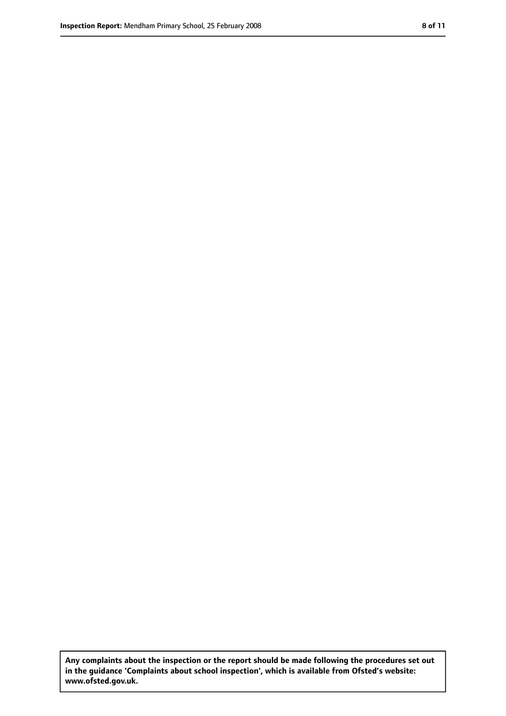**Any complaints about the inspection or the report should be made following the procedures set out in the guidance 'Complaints about school inspection', which is available from Ofsted's website: www.ofsted.gov.uk.**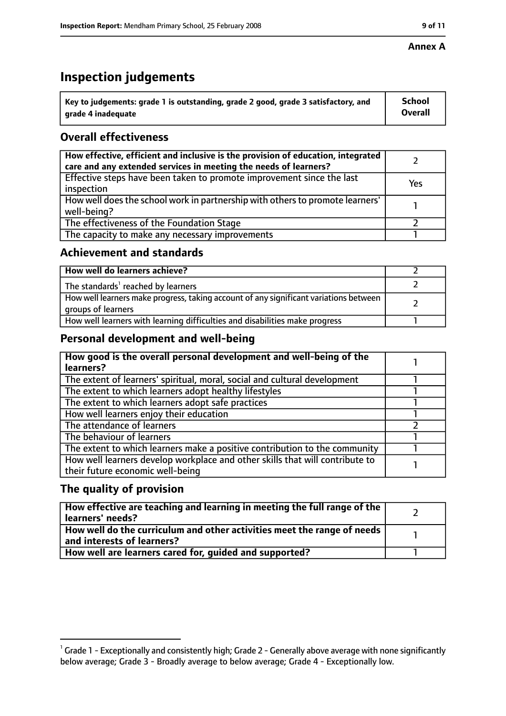#### **Annex A**

# **Inspection judgements**

| $^{\backprime}$ Key to judgements: grade 1 is outstanding, grade 2 good, grade 3 satisfactory, and | <b>School</b>  |
|----------------------------------------------------------------------------------------------------|----------------|
| arade 4 inadequate                                                                                 | <b>Overall</b> |

### **Overall effectiveness**

| How effective, efficient and inclusive is the provision of education, integrated<br>care and any extended services in meeting the needs of learners? |     |
|------------------------------------------------------------------------------------------------------------------------------------------------------|-----|
| Effective steps have been taken to promote improvement since the last<br>inspection                                                                  | Yes |
| How well does the school work in partnership with others to promote learners'<br>well-being?                                                         |     |
| The effectiveness of the Foundation Stage                                                                                                            |     |
| The capacity to make any necessary improvements                                                                                                      |     |

### **Achievement and standards**

| How well do learners achieve?                                                                               |  |
|-------------------------------------------------------------------------------------------------------------|--|
| The standards <sup>1</sup> reached by learners                                                              |  |
| How well learners make progress, taking account of any significant variations between<br>groups of learners |  |
| How well learners with learning difficulties and disabilities make progress                                 |  |

### **Personal development and well-being**

| How good is the overall personal development and well-being of the<br>learners? |  |
|---------------------------------------------------------------------------------|--|
|                                                                                 |  |
| The extent of learners' spiritual, moral, social and cultural development       |  |
| The extent to which learners adopt healthy lifestyles                           |  |
| The extent to which learners adopt safe practices                               |  |
| How well learners enjoy their education                                         |  |
| The attendance of learners                                                      |  |
| The behaviour of learners                                                       |  |
| The extent to which learners make a positive contribution to the community      |  |
| How well learners develop workplace and other skills that will contribute to    |  |
| their future economic well-being                                                |  |

### **The quality of provision**

| How effective are teaching and learning in meeting the full range of the<br>learners' needs?          |  |
|-------------------------------------------------------------------------------------------------------|--|
| How well do the curriculum and other activities meet the range of needs<br>and interests of learners? |  |
| How well are learners cared for, quided and supported?                                                |  |

 $^1$  Grade 1 - Exceptionally and consistently high; Grade 2 - Generally above average with none significantly below average; Grade 3 - Broadly average to below average; Grade 4 - Exceptionally low.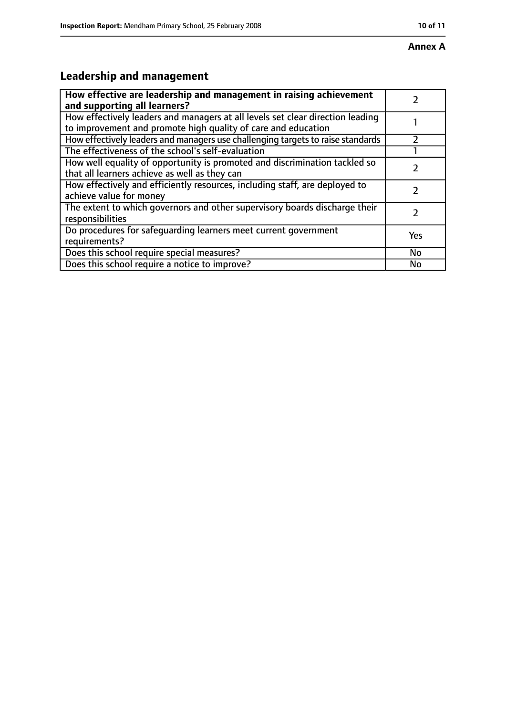# **Annex A**

# **Leadership and management**

| How effective are leadership and management in raising achievement              |     |
|---------------------------------------------------------------------------------|-----|
| and supporting all learners?                                                    |     |
| How effectively leaders and managers at all levels set clear direction leading  |     |
| to improvement and promote high quality of care and education                   |     |
| How effectively leaders and managers use challenging targets to raise standards |     |
| The effectiveness of the school's self-evaluation                               |     |
| How well equality of opportunity is promoted and discrimination tackled so      |     |
| that all learners achieve as well as they can                                   |     |
| How effectively and efficiently resources, including staff, are deployed to     |     |
| achieve value for money                                                         |     |
| The extent to which governors and other supervisory boards discharge their      |     |
| responsibilities                                                                |     |
| Do procedures for safequarding learners meet current government                 | Yes |
| requirements?                                                                   |     |
| Does this school require special measures?                                      | No  |
| Does this school require a notice to improve?                                   | No  |